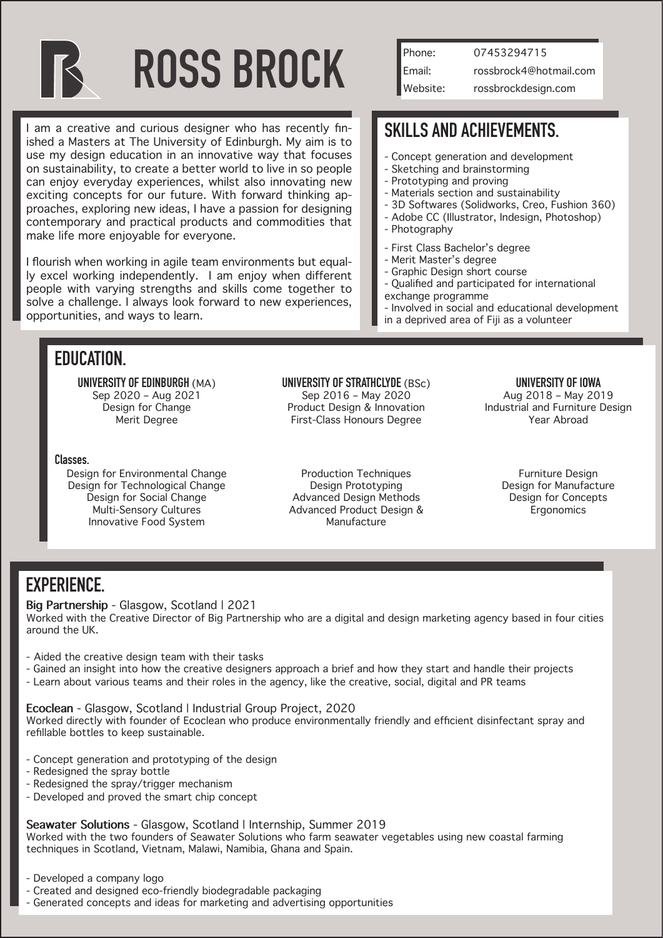

# **ROSS BROCK**

I am a creative and curious designer who has recently finished a Masters at The University of Edinburgh. My aim is to use my design education in an innovative way that focuses on sustainability, to create a better world to live in so people can enjoy everyday experiences, whilst also innovating new exciting concepts for our future. With forward thinking approaches, exploring new ideas, I have a passion for designing contemporary and practical products and commodities that make life more enjoyable for everyone.

I flourish when working in agile team environments but equally excel working independently. I am enjoy when different people with varying strengths and skills come together to solve a challenge. I always look forward to new experiences, opportunities, and ways to learn.

| l Phone: | 07453294715            |
|----------|------------------------|
| Email:   | rossbrock4@hotmail.com |
| Website: | rossbrockdesign.com    |

## **SKILLS AND ACHIEVEMENTS.**

- Concept generation and development
- Sketching and brainstorming
- Prototyping and proving
- Materials section and sustainability
- 3D Softwares (Solidworks, Creo, Fushion 360) - Adobe CC (Illustrator, Indesign, Photoshop)
- Photography
- 
- First Class Bachelor's degree
- Merit Master's degree
- Graphic Design short course
- Qualified and participated for international exchange programme
- Involved in social and educational development
- in a deprived area of Fiji as a volunteer

### **EDUCATION.**

**UNIVERSITY OF EDINBURGH** (MA) Sep 2020 – Aug 2021 Design for Change Merit Degree

## **Classes.**

Design for Environmental Change Design for Technological Change Design for Social Change Multi-Sensory Cultures Innovative Food System

#### **UNIVERSITY OF STRATHCLYDE** (BSc)

Sep 2016 – May 2020 Product Design & Innovation First-Class Honours Degree

#### **UNIVERSITY OF IOWA**

Aug 2018 – May 2019 Industrial and Furniture Design Year Abroad

Production Techniques Design Prototyping Advanced Design Methods Advanced Product Design & Manufacture

Furniture Design Design for Manufacture Design for Concepts **Ergonomics** 

## **EXPERIENCE.**

**Big Partnership** - Glasgow, Scotland | 2021

Worked with the Creative Director of Big Partnership who are a digital and design marketing agency based in four cities around the UK.

- Aided the creative design team with their tasks

- Gained an insight into how the creative designers approach a brief and how they start and handle their projects
- Learn about various teams and their roles in the agency, like the creative, social, digital and PR teams

**Ecoclean** - Glasgow, Scotland | Industrial Group Project, 2020

Worked directly with founder of Ecoclean who produce environmentally friendly and efficient disinfectant spray and refillable bottles to keep sustainable.

- Concept generation and prototyping of the design
- Redesigned the spray bottle
- Redesigned the spray/trigger mechanism
- Developed and proved the smart chip concept

**Seawater Solutions** - Glasgow, Scotland | Internship, Summer 2019

Worked with the two founders of Seawater Solutions who farm seawater vegetables using new coastal farming techniques in Scotland, Vietnam, Malawi, Namibia, Ghana and Spain.

- Created and designed eco-friendly biodegradable packaging
- Generated concepts and ideas for marketing and advertising opportunities